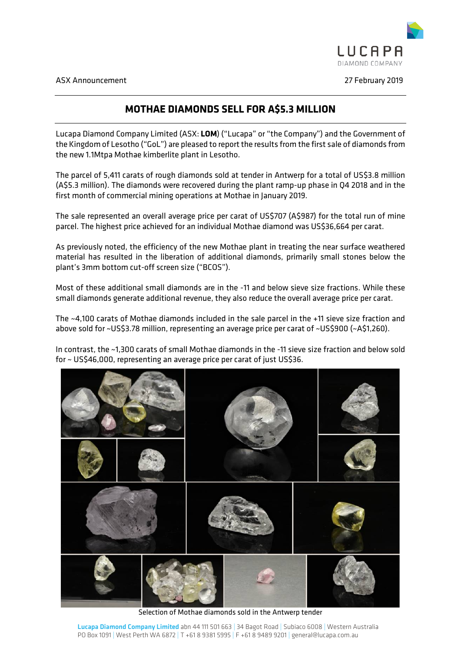

## **MOTHAE DIAMONDS SELL FOR A\$5.3 MILLION**

Lucapa Diamond Company Limited (ASX: **LOM**) ("Lucapa" or "the Company") and the Government of the Kingdom of Lesotho ("GoL") are pleased to report the results from the first sale of diamonds from the new 1.1Mtpa Mothae kimberlite plant in Lesotho.

The parcel of 5,411 carats of rough diamonds sold at tender in Antwerp for a total of US\$3.8 million (A\$5.3 million). The diamonds were recovered during the plant ramp-up phase in Q4 2018 and in the first month of commercial mining operations at Mothae in January 2019.

The sale represented an overall average price per carat of US\$707 (A\$987) for the total run of mine parcel. The highest price achieved for an individual Mothae diamond was US\$36,664 per carat.

As previously noted, the efficiency of the new Mothae plant in treating the near surface weathered material has resulted in the liberation of additional diamonds, primarily small stones below the plant's 3mm bottom cut-off screen size ("BCOS").

Most of these additional small diamonds are in the -11 and below sieve size fractions. While these small diamonds generate additional revenue, they also reduce the overall average price per carat.

The ~4,100 carats of Mothae diamonds included in the sale parcel in the +11 sieve size fraction and above sold for ~US\$3.78 million, representing an average price per carat of ~US\$900 (~A\$1,260).

In contrast, the ~1,300 carats of small Mothae diamonds in the -11 sieve size fraction and below sold for ~ US\$46,000, representing an average price per carat of just US\$36.



Selection of Mothae diamonds sold in the Antwerp tender

Lucapa Diamond Company Limited abn 44 111 501 663 | 34 Bagot Road | Subiaco 6008 | Western Australia PO Box 1091 | West Perth WA 6872 | T +61 8 9381 5995 | F +61 8 9489 9201 | general@lucapa.com.au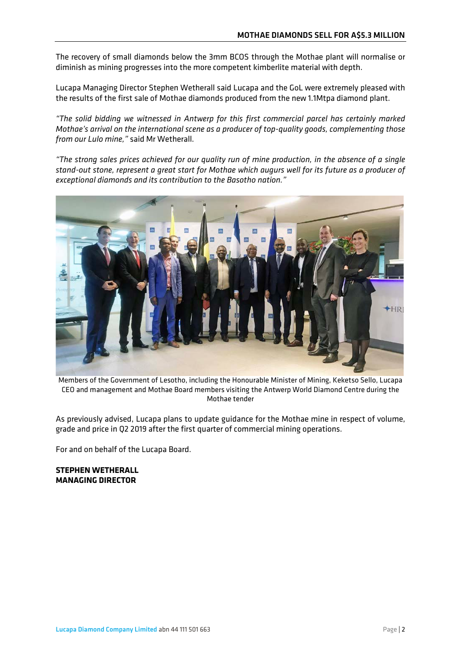The recovery of small diamonds below the 3mm BCOS through the Mothae plant will normalise or diminish as mining progresses into the more competent kimberlite material with depth.

Lucapa Managing Director Stephen Wetherall said Lucapa and the GoL were extremely pleased with the results of the first sale of Mothae diamonds produced from the new 1.1Mtpa diamond plant.

*"The solid bidding we witnessed in Antwerp for this first commercial parcel has certainly marked Mothae's arrival on the international scene as a producer of top-quality goods, complementing those from our Lulo mine,"* said Mr Wetherall.

*"The strong sales prices achieved for our quality run of mine production, in the absence of a single stand-out stone, represent a great start for Mothae which augurs well for its future as a producer of exceptional diamonds and its contribution to the Basotho nation."*



Members of the Government of Lesotho, including the Honourable Minister of Mining, Keketso Sello, Lucapa CEO and management and Mothae Board members visiting the Antwerp World Diamond Centre during the Mothae tender

As previously advised, Lucapa plans to update guidance for the Mothae mine in respect of volume, grade and price in Q2 2019 after the first quarter of commercial mining operations.

For and on behalf of the Lucapa Board.

**STEPHEN WETHERALL MANAGING DIRECTOR**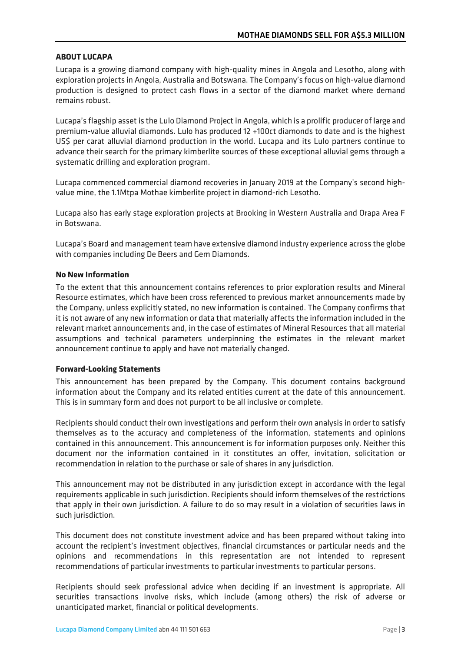## **ABOUT LUCAPA**

Lucapa is a growing diamond company with high-quality mines in Angola and Lesotho, along with exploration projects in Angola, Australia and Botswana. The Company's focus on high-value diamond production is designed to protect cash flows in a sector of the diamond market where demand remains robust.

Lucapa's flagship asset is the Lulo Diamond Project in Angola, which is a prolific producer of large and premium-value alluvial diamonds. Lulo has produced 12 +100ct diamonds to date and is the highest US\$ per carat alluvial diamond production in the world. Lucapa and its Lulo partners continue to advance their search for the primary kimberlite sources of these exceptional alluvial gems through a systematic drilling and exploration program.

Lucapa commenced commercial diamond recoveries in January 2019 at the Company's second highvalue mine, the 1.1Mtpa Mothae kimberlite project in diamond-rich Lesotho.

Lucapa also has early stage exploration projects at Brooking in Western Australia and Orapa Area F in Botswana.

Lucapa's Board and management team have extensive diamond industry experience across the globe with companies including De Beers and Gem Diamonds.

## **No New Information**

To the extent that this announcement contains references to prior exploration results and Mineral Resource estimates, which have been cross referenced to previous market announcements made by the Company, unless explicitly stated, no new information is contained. The Company confirms that it is not aware of any new information or data that materially affects the information included in the relevant market announcements and, in the case of estimates of Mineral Resources that all material assumptions and technical parameters underpinning the estimates in the relevant market announcement continue to apply and have not materially changed.

## **Forward-Looking Statements**

This announcement has been prepared by the Company. This document contains background information about the Company and its related entities current at the date of this announcement. This is in summary form and does not purport to be all inclusive or complete.

Recipients should conduct their own investigations and perform their own analysis in order to satisfy themselves as to the accuracy and completeness of the information, statements and opinions contained in this announcement. This announcement is for information purposes only. Neither this document nor the information contained in it constitutes an offer, invitation, solicitation or recommendation in relation to the purchase or sale of shares in any jurisdiction.

This announcement may not be distributed in any jurisdiction except in accordance with the legal requirements applicable in such jurisdiction. Recipients should inform themselves of the restrictions that apply in their own jurisdiction. A failure to do so may result in a violation of securities laws in such jurisdiction.

This document does not constitute investment advice and has been prepared without taking into account the recipient's investment objectives, financial circumstances or particular needs and the opinions and recommendations in this representation are not intended to represent recommendations of particular investments to particular investments to particular persons.

Recipients should seek professional advice when deciding if an investment is appropriate. All securities transactions involve risks, which include (among others) the risk of adverse or unanticipated market, financial or political developments.